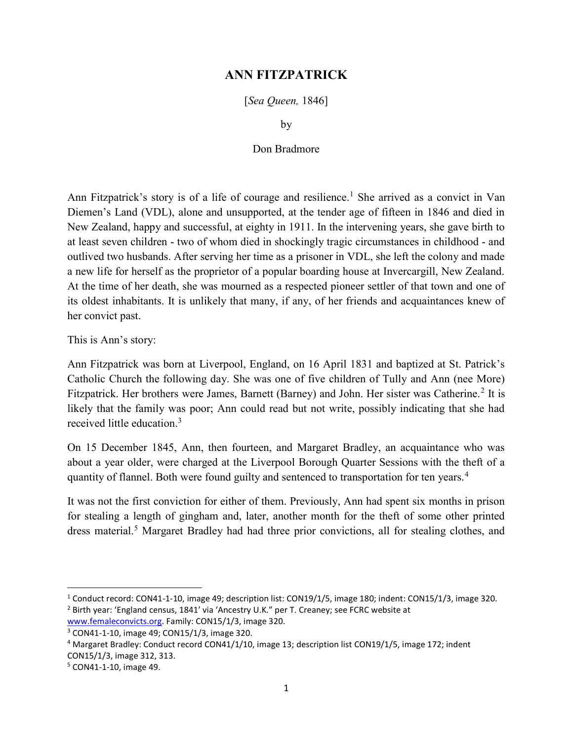## ANN FITZPATRICK

[Sea Queen, 1846]

by

## Don Bradmore

Ann Fitzpatrick's story is of a life of courage and resilience.<sup>1</sup> She arrived as a convict in Van Diemen's Land (VDL), alone and unsupported, at the tender age of fifteen in 1846 and died in New Zealand, happy and successful, at eighty in 1911. In the intervening years, she gave birth to at least seven children - two of whom died in shockingly tragic circumstances in childhood - and outlived two husbands. After serving her time as a prisoner in VDL, she left the colony and made a new life for herself as the proprietor of a popular boarding house at Invercargill, New Zealand. At the time of her death, she was mourned as a respected pioneer settler of that town and one of its oldest inhabitants. It is unlikely that many, if any, of her friends and acquaintances knew of her convict past.

This is Ann's story:

Ann Fitzpatrick was born at Liverpool, England, on 16 April 1831 and baptized at St. Patrick's Catholic Church the following day. She was one of five children of Tully and Ann (nee More) Fitzpatrick. Her brothers were James, Barnett (Barney) and John. Her sister was Catherine.<sup>2</sup> It is likely that the family was poor; Ann could read but not write, possibly indicating that she had received little education.<sup>3</sup>

On 15 December 1845, Ann, then fourteen, and Margaret Bradley, an acquaintance who was about a year older, were charged at the Liverpool Borough Quarter Sessions with the theft of a quantity of flannel. Both were found guilty and sentenced to transportation for ten years.<sup>4</sup>

It was not the first conviction for either of them. Previously, Ann had spent six months in prison for stealing a length of gingham and, later, another month for the theft of some other printed dress material.<sup>5</sup> Margaret Bradley had had three prior convictions, all for stealing clothes, and

 $\overline{a}$ 

<sup>&</sup>lt;sup>1</sup> Conduct record: CON41-1-10, image 49; description list: CON19/1/5, image 180; indent: CON15/1/3, image 320. <sup>2</sup> Birth year: 'England census, 1841' via 'Ancestry U.K." per T. Creaney; see FCRC website at

www.femaleconvicts.org. Family: CON15/1/3, image 320.

<sup>3</sup> CON41-1-10, image 49; CON15/1/3, image 320.

<sup>&</sup>lt;sup>4</sup> Margaret Bradley: Conduct record CON41/1/10, image 13; description list CON19/1/5, image 172; indent CON15/1/3, image 312, 313.

<sup>5</sup> CON41-1-10, image 49.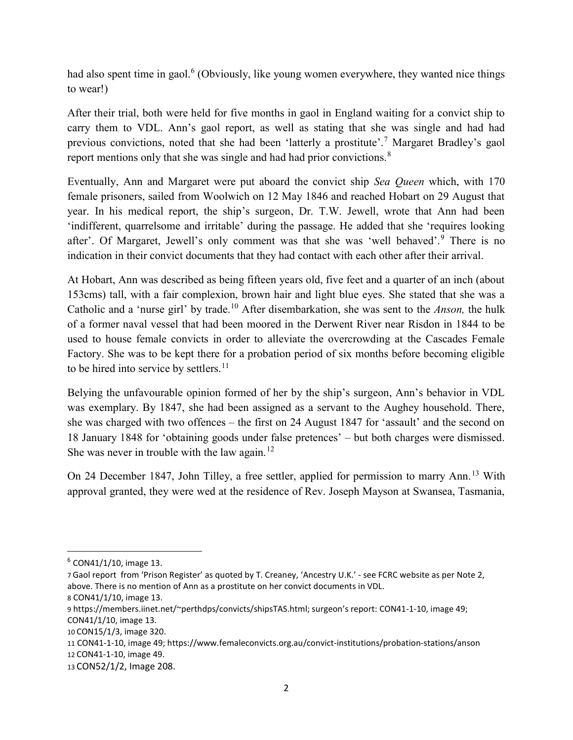had also spent time in gaol.<sup>6</sup> (Obviously, like young women everywhere, they wanted nice things to wear!)

After their trial, both were held for five months in gaol in England waiting for a convict ship to carry them to VDL. Ann's gaol report, as well as stating that she was single and had had previous convictions, noted that she had been 'latterly a prostitute'.<sup>7</sup> Margaret Bradley's gaol report mentions only that she was single and had had prior convictions.<sup>8</sup>

Eventually, Ann and Margaret were put aboard the convict ship Sea Queen which, with 170 female prisoners, sailed from Woolwich on 12 May 1846 and reached Hobart on 29 August that year. In his medical report, the ship's surgeon, Dr. T.W. Jewell, wrote that Ann had been 'indifferent, quarrelsome and irritable' during the passage. He added that she 'requires looking after'. Of Margaret, Jewell's only comment was that she was 'well behaved'.<sup>9</sup> There is no indication in their convict documents that they had contact with each other after their arrival.

At Hobart, Ann was described as being fifteen years old, five feet and a quarter of an inch (about 153cms) tall, with a fair complexion, brown hair and light blue eyes. She stated that she was a Catholic and a 'nurse girl' by trade.<sup>10</sup> After disembarkation, she was sent to the *Anson*, the hulk of a former naval vessel that had been moored in the Derwent River near Risdon in 1844 to be used to house female convicts in order to alleviate the overcrowding at the Cascades Female Factory. She was to be kept there for a probation period of six months before becoming eligible to be hired into service by settlers.<sup>11</sup>

Belying the unfavourable opinion formed of her by the ship's surgeon, Ann's behavior in VDL was exemplary. By 1847, she had been assigned as a servant to the Aughey household. There, she was charged with two offences – the first on 24 August 1847 for 'assault' and the second on 18 January 1848 for 'obtaining goods under false pretences' – but both charges were dismissed. She was never in trouble with the law again.<sup>12</sup>

On 24 December 1847, John Tilley, a free settler, applied for permission to marry Ann.<sup>13</sup> With approval granted, they were wed at the residence of Rev. Joseph Mayson at Swansea, Tasmania,

 $\overline{a}$ 

<sup>6</sup> CON41/1/10, image 13.

<sup>7</sup> Gaol report from 'Prison Register' as quoted by T. Creaney, 'Ancestry U.K.' - see FCRC website as per Note 2, above. There is no mention of Ann as a prostitute on her convict documents in VDL.

<sup>8</sup> CON41/1/10, image 13.

<sup>9</sup> https://members.iinet.net/~perthdps/convicts/shipsTAS.html; surgeon's report: CON41-1-10, image 49; CON41/1/10, image 13.

<sup>10</sup> CON15/1/3, image 320.

<sup>11</sup> CON41-1-10, image 49; https://www.femaleconvicts.org.au/convict-institutions/probation-stations/anson 12 CON41-1-10, image 49.

<sup>13</sup> CON52/1/2, Image 208.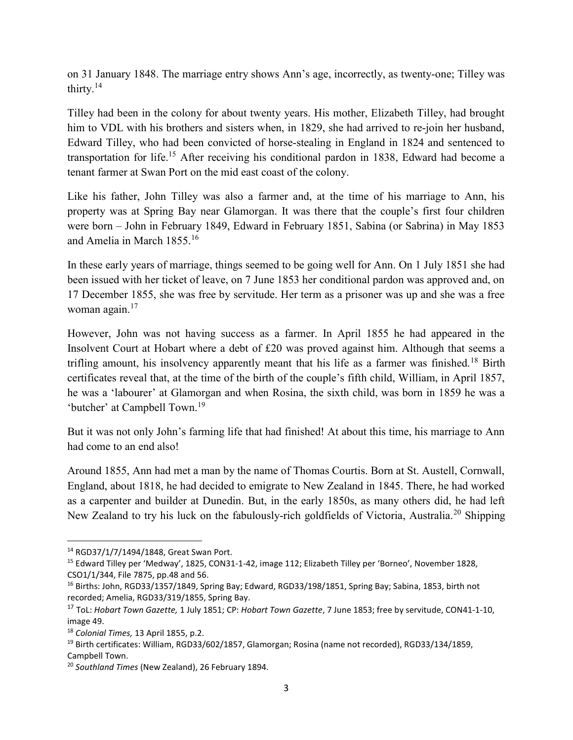on 31 January 1848. The marriage entry shows Ann's age, incorrectly, as twenty-one; Tilley was thirty.<sup>14</sup>

Tilley had been in the colony for about twenty years. His mother, Elizabeth Tilley, had brought him to VDL with his brothers and sisters when, in 1829, she had arrived to re-join her husband, Edward Tilley, who had been convicted of horse-stealing in England in 1824 and sentenced to transportation for life.<sup>15</sup> After receiving his conditional pardon in 1838, Edward had become a tenant farmer at Swan Port on the mid east coast of the colony.

Like his father, John Tilley was also a farmer and, at the time of his marriage to Ann, his property was at Spring Bay near Glamorgan. It was there that the couple's first four children were born – John in February 1849, Edward in February 1851, Sabina (or Sabrina) in May 1853 and Amelia in March 1855.<sup>16</sup>

In these early years of marriage, things seemed to be going well for Ann. On 1 July 1851 she had been issued with her ticket of leave, on 7 June 1853 her conditional pardon was approved and, on 17 December 1855, she was free by servitude. Her term as a prisoner was up and she was a free woman again.<sup>17</sup>

However, John was not having success as a farmer. In April 1855 he had appeared in the Insolvent Court at Hobart where a debt of £20 was proved against him. Although that seems a trifling amount, his insolvency apparently meant that his life as a farmer was finished.<sup>18</sup> Birth certificates reveal that, at the time of the birth of the couple's fifth child, William, in April 1857, he was a 'labourer' at Glamorgan and when Rosina, the sixth child, was born in 1859 he was a 'butcher' at Campbell Town.<sup>19</sup>

But it was not only John's farming life that had finished! At about this time, his marriage to Ann had come to an end also!

Around 1855, Ann had met a man by the name of Thomas Courtis. Born at St. Austell, Cornwall, England, about 1818, he had decided to emigrate to New Zealand in 1845. There, he had worked as a carpenter and builder at Dunedin. But, in the early 1850s, as many others did, he had left New Zealand to try his luck on the fabulously-rich goldfields of Victoria, Australia.<sup>20</sup> Shipping

<sup>14</sup> RGD37/1/7/1494/1848, Great Swan Port.

<sup>15</sup> Edward Tilley per 'Medway', 1825, CON31-1-42, image 112; Elizabeth Tilley per 'Borneo', November 1828, CSO1/1/344, File 7875, pp.48 and 56.

<sup>&</sup>lt;sup>16</sup> Births: John, RGD33/1357/1849, Spring Bay; Edward, RGD33/198/1851, Spring Bay; Sabina, 1853, birth not recorded; Amelia, RGD33/319/1855, Spring Bay.

<sup>&</sup>lt;sup>17</sup> ToL: Hobart Town Gazette, 1 July 1851; CP: Hobart Town Gazette, 7 June 1853; free by servitude, CON41-1-10, image 49.

<sup>18</sup> Colonial Times, 13 April 1855, p.2.

<sup>19</sup> Birth certificates: William, RGD33/602/1857, Glamorgan; Rosina (name not recorded), RGD33/134/1859, Campbell Town.

<sup>&</sup>lt;sup>20</sup> Southland Times (New Zealand), 26 February 1894.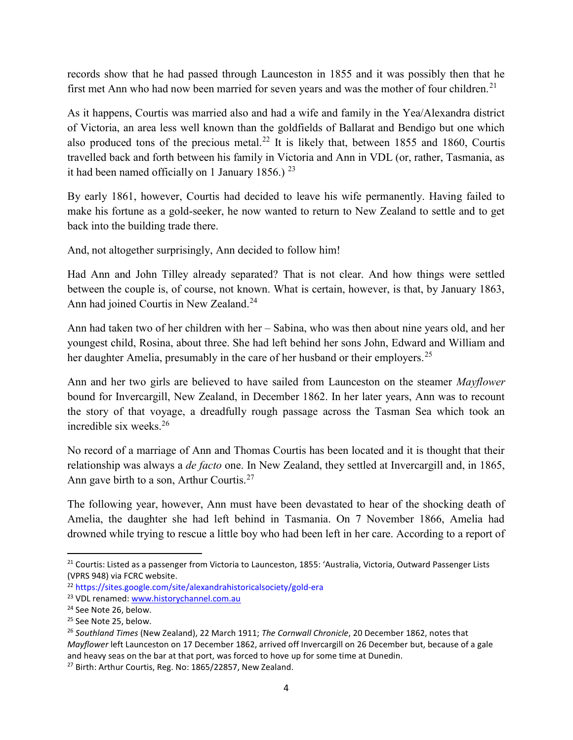records show that he had passed through Launceston in 1855 and it was possibly then that he first met Ann who had now been married for seven years and was the mother of four children.<sup>21</sup>

As it happens, Courtis was married also and had a wife and family in the Yea/Alexandra district of Victoria, an area less well known than the goldfields of Ballarat and Bendigo but one which also produced tons of the precious metal.<sup>22</sup> It is likely that, between 1855 and 1860, Courtis travelled back and forth between his family in Victoria and Ann in VDL (or, rather, Tasmania, as it had been named officially on 1 January 1856.)  $^{23}$ 

By early 1861, however, Courtis had decided to leave his wife permanently. Having failed to make his fortune as a gold-seeker, he now wanted to return to New Zealand to settle and to get back into the building trade there.

And, not altogether surprisingly, Ann decided to follow him!

Had Ann and John Tilley already separated? That is not clear. And how things were settled between the couple is, of course, not known. What is certain, however, is that, by January 1863, Ann had joined Courtis in New Zealand.<sup>24</sup>

Ann had taken two of her children with her – Sabina, who was then about nine years old, and her youngest child, Rosina, about three. She had left behind her sons John, Edward and William and her daughter Amelia, presumably in the care of her husband or their employers.<sup>25</sup>

Ann and her two girls are believed to have sailed from Launceston on the steamer *Mayflower* bound for Invercargill, New Zealand, in December 1862. In her later years, Ann was to recount the story of that voyage, a dreadfully rough passage across the Tasman Sea which took an incredible six weeks.<sup>26</sup>

No record of a marriage of Ann and Thomas Courtis has been located and it is thought that their relationship was always a de facto one. In New Zealand, they settled at Invercargill and, in 1865, Ann gave birth to a son, Arthur Courtis.<sup>27</sup>

The following year, however, Ann must have been devastated to hear of the shocking death of Amelia, the daughter she had left behind in Tasmania. On 7 November 1866, Amelia had drowned while trying to rescue a little boy who had been left in her care. According to a report of

<sup>&</sup>lt;sup>21</sup> Courtis: Listed as a passenger from Victoria to Launceston, 1855: 'Australia, Victoria, Outward Passenger Lists (VPRS 948) via FCRC website.

<sup>22</sup> https://sites.google.com/site/alexandrahistoricalsociety/gold-era

<sup>23</sup> VDL renamed: www.historychannel.com.au

<sup>&</sup>lt;sup>24</sup> See Note 26, below.

<sup>&</sup>lt;sup>25</sup> See Note 25, below.

<sup>&</sup>lt;sup>26</sup> Southland Times (New Zealand), 22 March 1911; The Cornwall Chronicle, 20 December 1862, notes that Mayflower left Launceston on 17 December 1862, arrived off Invercargill on 26 December but, because of a gale and heavy seas on the bar at that port, was forced to hove up for some time at Dunedin.

<sup>&</sup>lt;sup>27</sup> Birth: Arthur Courtis, Reg. No: 1865/22857, New Zealand.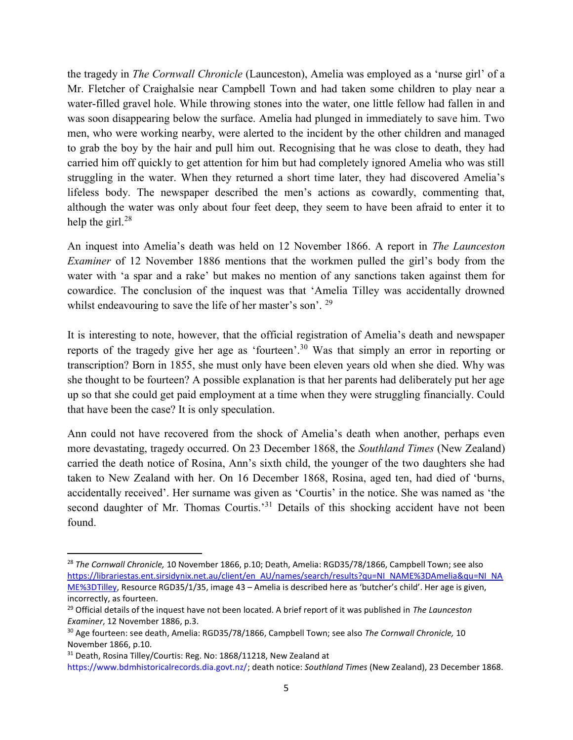the tragedy in The Cornwall Chronicle (Launceston), Amelia was employed as a 'nurse girl' of a Mr. Fletcher of Craighalsie near Campbell Town and had taken some children to play near a water-filled gravel hole. While throwing stones into the water, one little fellow had fallen in and was soon disappearing below the surface. Amelia had plunged in immediately to save him. Two men, who were working nearby, were alerted to the incident by the other children and managed to grab the boy by the hair and pull him out. Recognising that he was close to death, they had carried him off quickly to get attention for him but had completely ignored Amelia who was still struggling in the water. When they returned a short time later, they had discovered Amelia's lifeless body. The newspaper described the men's actions as cowardly, commenting that, although the water was only about four feet deep, they seem to have been afraid to enter it to help the girl. $^{28}$ 

An inquest into Amelia's death was held on 12 November 1866. A report in The Launceston Examiner of 12 November 1886 mentions that the workmen pulled the girl's body from the water with 'a spar and a rake' but makes no mention of any sanctions taken against them for cowardice. The conclusion of the inquest was that 'Amelia Tilley was accidentally drowned whilst endeavouring to save the life of her master's son'.  $29$ 

It is interesting to note, however, that the official registration of Amelia's death and newspaper reports of the tragedy give her age as 'fourteen'.<sup>30</sup> Was that simply an error in reporting or transcription? Born in 1855, she must only have been eleven years old when she died. Why was she thought to be fourteen? A possible explanation is that her parents had deliberately put her age up so that she could get paid employment at a time when they were struggling financially. Could that have been the case? It is only speculation.

Ann could not have recovered from the shock of Amelia's death when another, perhaps even more devastating, tragedy occurred. On 23 December 1868, the Southland Times (New Zealand) carried the death notice of Rosina, Ann's sixth child, the younger of the two daughters she had taken to New Zealand with her. On 16 December 1868, Rosina, aged ten, had died of 'burns, accidentally received'. Her surname was given as 'Courtis' in the notice. She was named as 'the second daughter of Mr. Thomas Courtis.<sup>31</sup> Details of this shocking accident have not been found.

<sup>&</sup>lt;sup>28</sup> The Cornwall Chronicle, 10 November 1866, p.10; Death, Amelia: RGD35/78/1866, Campbell Town; see also https://librariestas.ent.sirsidynix.net.au/client/en\_AU/names/search/results?qu=NI\_NAME%3DAmelia&qu=NI\_NA ME%3DTilley, Resource RGD35/1/35, image 43 – Amelia is described here as 'butcher's child'. Her age is given, incorrectly, as fourteen.

 $29$  Official details of the inquest have not been located. A brief report of it was published in The Launceston Examiner, 12 November 1886, p.3.

<sup>&</sup>lt;sup>30</sup> Age fourteen: see death, Amelia: RGD35/78/1866, Campbell Town; see also The Cornwall Chronicle, 10 November 1866, p.10.

<sup>&</sup>lt;sup>31</sup> Death, Rosina Tilley/Courtis: Reg. No: 1868/11218, New Zealand at

https://www.bdmhistoricalrecords.dia.govt.nz/; death notice: Southland Times (New Zealand), 23 December 1868.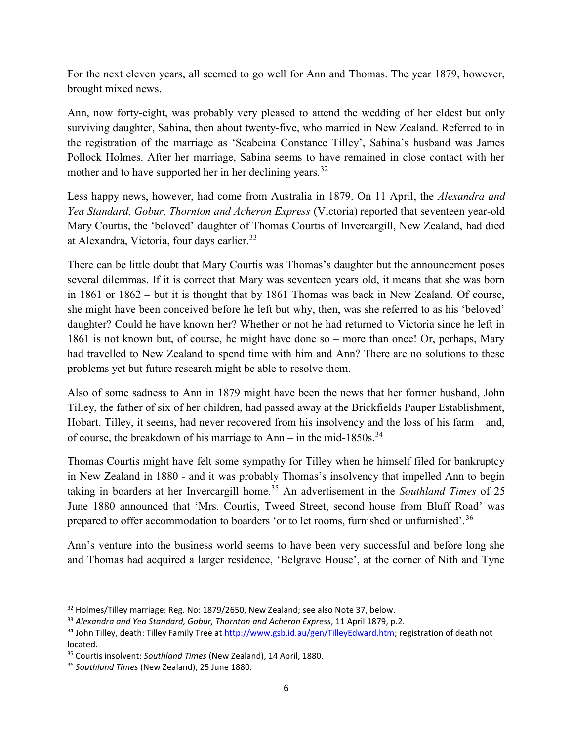For the next eleven years, all seemed to go well for Ann and Thomas. The year 1879, however, brought mixed news.

Ann, now forty-eight, was probably very pleased to attend the wedding of her eldest but only surviving daughter, Sabina, then about twenty-five, who married in New Zealand. Referred to in the registration of the marriage as 'Seabeina Constance Tilley', Sabina's husband was James Pollock Holmes. After her marriage, Sabina seems to have remained in close contact with her mother and to have supported her in her declining years.<sup>32</sup>

Less happy news, however, had come from Australia in 1879. On 11 April, the *Alexandra and* Yea Standard, Gobur, Thornton and Acheron Express (Victoria) reported that seventeen year-old Mary Courtis, the 'beloved' daughter of Thomas Courtis of Invercargill, New Zealand, had died at Alexandra, Victoria, four days earlier.<sup>33</sup>

There can be little doubt that Mary Courtis was Thomas's daughter but the announcement poses several dilemmas. If it is correct that Mary was seventeen years old, it means that she was born in 1861 or 1862 – but it is thought that by 1861 Thomas was back in New Zealand. Of course, she might have been conceived before he left but why, then, was she referred to as his 'beloved' daughter? Could he have known her? Whether or not he had returned to Victoria since he left in 1861 is not known but, of course, he might have done so – more than once! Or, perhaps, Mary had travelled to New Zealand to spend time with him and Ann? There are no solutions to these problems yet but future research might be able to resolve them.

Also of some sadness to Ann in 1879 might have been the news that her former husband, John Tilley, the father of six of her children, had passed away at the Brickfields Pauper Establishment, Hobart. Tilley, it seems, had never recovered from his insolvency and the loss of his farm – and, of course, the breakdown of his marriage to Ann – in the mid-1850s.<sup>34</sup>

Thomas Courtis might have felt some sympathy for Tilley when he himself filed for bankruptcy in New Zealand in 1880 - and it was probably Thomas's insolvency that impelled Ann to begin taking in boarders at her Invercargill home.<sup>35</sup> An advertisement in the Southland Times of 25 June 1880 announced that 'Mrs. Courtis, Tweed Street, second house from Bluff Road' was prepared to offer accommodation to boarders 'or to let rooms, furnished or unfurnished'.<sup>36</sup>

Ann's venture into the business world seems to have been very successful and before long she and Thomas had acquired a larger residence, 'Belgrave House', at the corner of Nith and Tyne

 $32$  Holmes/Tilley marriage: Reg. No: 1879/2650, New Zealand; see also Note 37, below.

<sup>33</sup> Alexandra and Yea Standard, Gobur, Thornton and Acheron Express, 11 April 1879, p.2.

<sup>34</sup> John Tilley, death: Tilley Family Tree at http://www.gsb.id.au/gen/TilleyEdward.htm; registration of death not located.

<sup>&</sup>lt;sup>35</sup> Courtis insolvent: Southland Times (New Zealand), 14 April, 1880.

<sup>&</sup>lt;sup>36</sup> Southland Times (New Zealand), 25 June 1880.